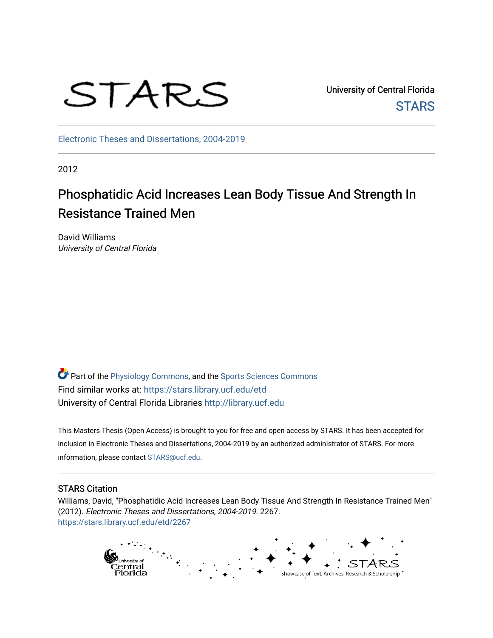

University of Central Florida **STARS** 

[Electronic Theses and Dissertations, 2004-2019](https://stars.library.ucf.edu/etd) 

2012

# Phosphatidic Acid Increases Lean Body Tissue And Strength In Resistance Trained Men

David Williams University of Central Florida

**Part of the [Physiology Commons](http://network.bepress.com/hgg/discipline/69?utm_source=stars.library.ucf.edu%2Fetd%2F2267&utm_medium=PDF&utm_campaign=PDFCoverPages), and the Sports Sciences Commons** Find similar works at: <https://stars.library.ucf.edu/etd> University of Central Florida Libraries [http://library.ucf.edu](http://library.ucf.edu/) 

This Masters Thesis (Open Access) is brought to you for free and open access by STARS. It has been accepted for inclusion in Electronic Theses and Dissertations, 2004-2019 by an authorized administrator of STARS. For more information, please contact [STARS@ucf.edu.](mailto:STARS@ucf.edu)

# STARS Citation

Williams, David, "Phosphatidic Acid Increases Lean Body Tissue And Strength In Resistance Trained Men" (2012). Electronic Theses and Dissertations, 2004-2019. 2267. [https://stars.library.ucf.edu/etd/2267](https://stars.library.ucf.edu/etd/2267?utm_source=stars.library.ucf.edu%2Fetd%2F2267&utm_medium=PDF&utm_campaign=PDFCoverPages) 

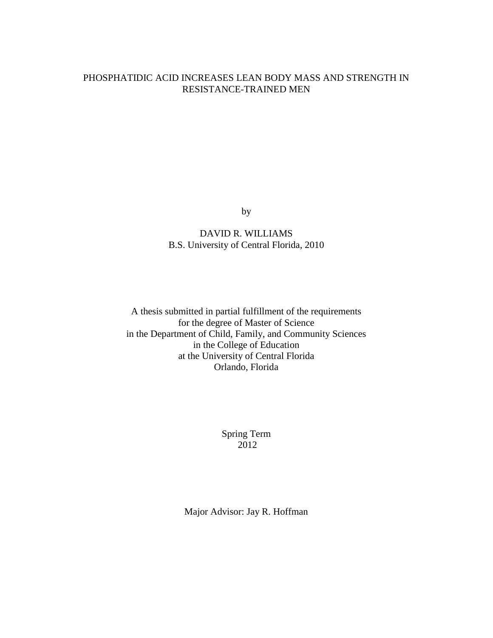# PHOSPHATIDIC ACID INCREASES LEAN BODY MASS AND STRENGTH IN RESISTANCE-TRAINED MEN

by

DAVID R. WILLIAMS B.S. University of Central Florida, 2010

A thesis submitted in partial fulfillment of the requirements for the degree of Master of Science in the Department of Child, Family, and Community Sciences in the College of Education at the University of Central Florida Orlando, Florida

> Spring Term 2012

Major Advisor: Jay R. Hoffman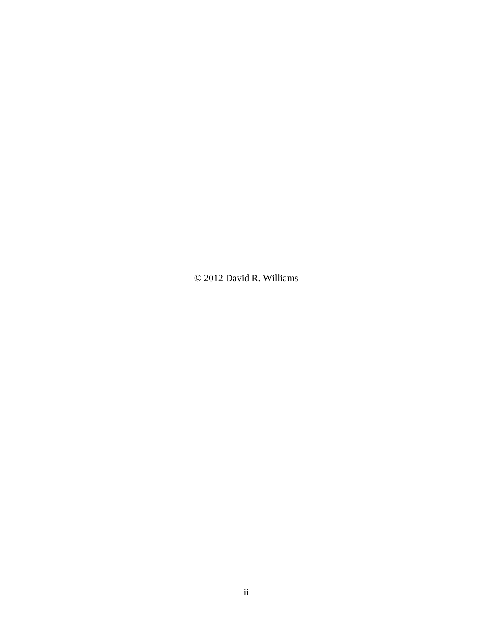© 2012 David R. Williams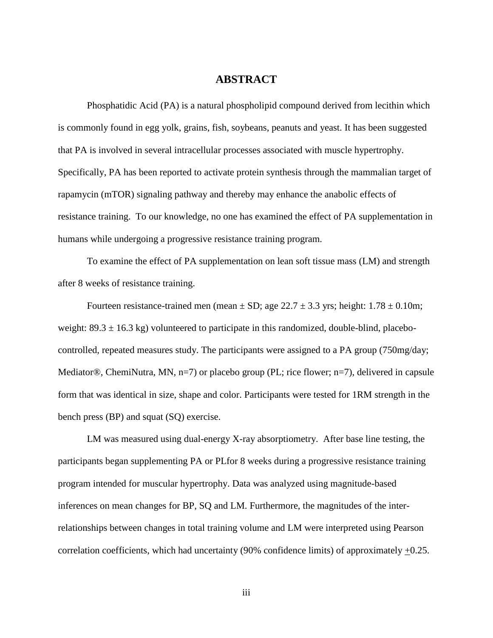# **ABSTRACT**

Phosphatidic Acid (PA) is a natural phospholipid compound derived from lecithin which is commonly found in egg yolk, grains, fish, soybeans, peanuts and yeast. It has been suggested that PA is involved in several intracellular processes associated with muscle hypertrophy. Specifically, PA has been reported to activate protein synthesis through the mammalian target of rapamycin (mTOR) signaling pathway and thereby may enhance the anabolic effects of resistance training. To our knowledge, no one has examined the effect of PA supplementation in humans while undergoing a progressive resistance training program.

To examine the effect of PA supplementation on lean soft tissue mass (LM) and strength after 8 weeks of resistance training.

Fourteen resistance-trained men (mean  $\pm$  SD; age 22.7  $\pm$  3.3 yrs; height: 1.78  $\pm$  0.10m; weight:  $89.3 \pm 16.3$  kg) volunteered to participate in this randomized, double-blind, placebocontrolled, repeated measures study. The participants were assigned to a PA group (750mg/day; Mediator®, ChemiNutra, MN,  $n=7$ ) or placebo group (PL; rice flower;  $n=7$ ), delivered in capsule form that was identical in size, shape and color. Participants were tested for 1RM strength in the bench press (BP) and squat (SQ) exercise.

LM was measured using dual-energy X-ray absorptiometry. After base line testing, the participants began supplementing PA or PLfor 8 weeks during a progressive resistance training program intended for muscular hypertrophy. Data was analyzed using magnitude-based inferences on mean changes for BP, SQ and LM. Furthermore, the magnitudes of the interrelationships between changes in total training volume and LM were interpreted using Pearson correlation coefficients, which had uncertainty (90% confidence limits) of approximately +0.25.

iii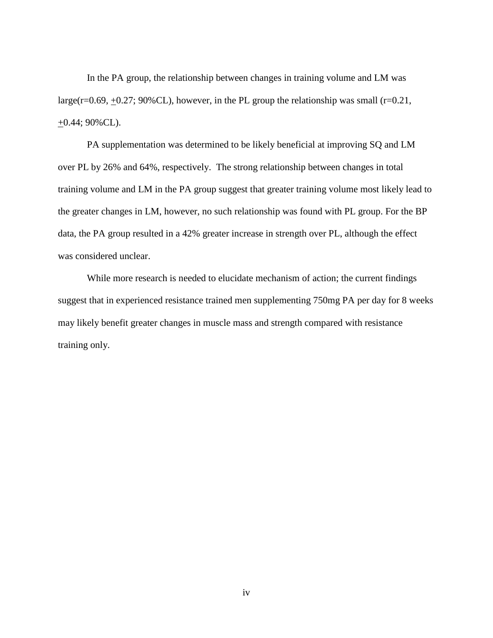In the PA group, the relationship between changes in training volume and LM was large( $r=0.69, +0.27$ ; 90%CL), however, in the PL group the relationship was small ( $r=0.21$ ,  $\pm 0.44$ ; 90%CL).

PA supplementation was determined to be likely beneficial at improving SQ and LM over PL by 26% and 64%, respectively. The strong relationship between changes in total training volume and LM in the PA group suggest that greater training volume most likely lead to the greater changes in LM, however, no such relationship was found with PL group. For the BP data, the PA group resulted in a 42% greater increase in strength over PL, although the effect was considered unclear.

While more research is needed to elucidate mechanism of action; the current findings suggest that in experienced resistance trained men supplementing 750mg PA per day for 8 weeks may likely benefit greater changes in muscle mass and strength compared with resistance training only.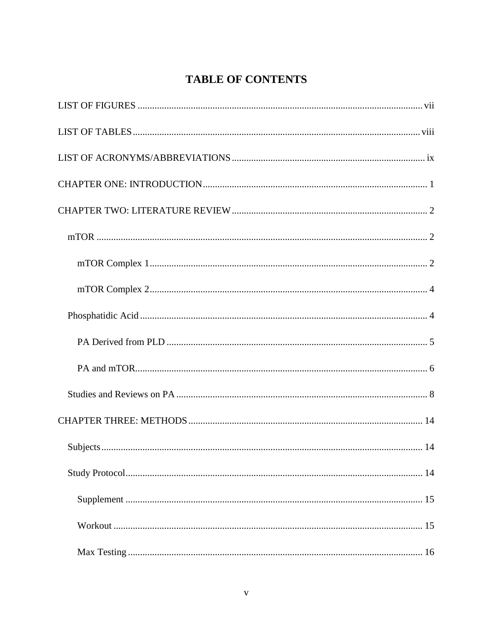# **TABLE OF CONTENTS**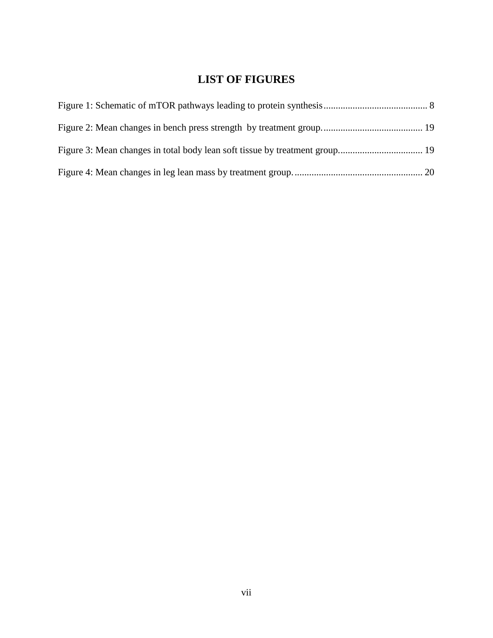# **LIST OF FIGURES**

<span id="page-7-0"></span>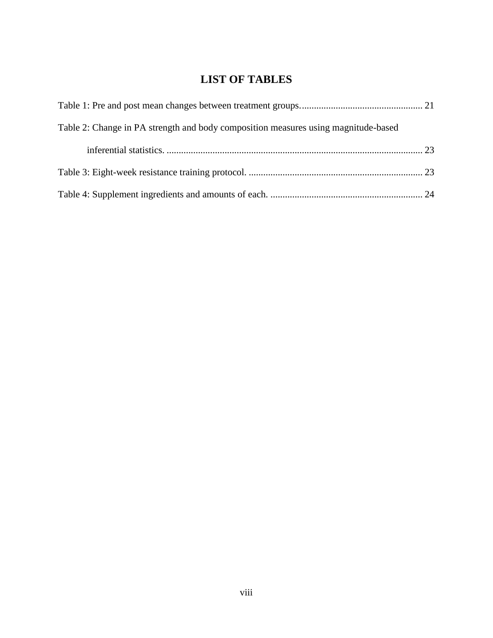# **LIST OF TABLES**

<span id="page-8-0"></span>

| Table 2: Change in PA strength and body composition measures using magnitude-based |  |
|------------------------------------------------------------------------------------|--|
|                                                                                    |  |
|                                                                                    |  |
|                                                                                    |  |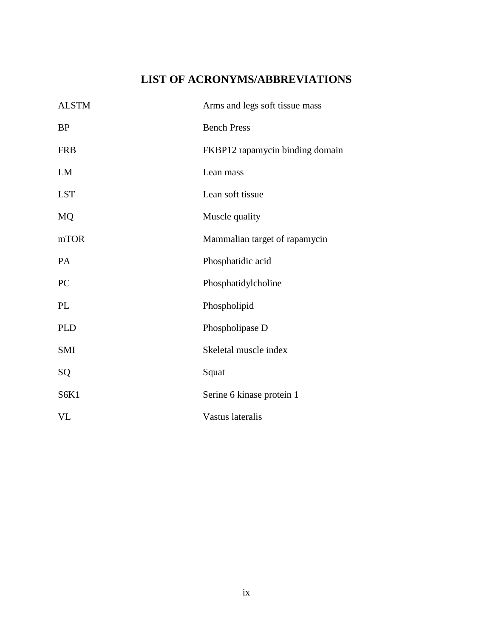# **LIST OF ACRONYMS/ABBREVIATIONS**

<span id="page-9-0"></span>

| <b>ALSTM</b> | Arms and legs soft tissue mass  |
|--------------|---------------------------------|
| <b>BP</b>    | <b>Bench Press</b>              |
| <b>FRB</b>   | FKBP12 rapamycin binding domain |
| LM           | Lean mass                       |
| <b>LST</b>   | Lean soft tissue                |
| MQ           | Muscle quality                  |
| mTOR         | Mammalian target of rapamycin   |
| PA           | Phosphatidic acid               |
| PC           | Phosphatidylcholine             |
| PL           | Phospholipid                    |
| <b>PLD</b>   | Phospholipase D                 |
| <b>SMI</b>   | Skeletal muscle index           |
| SQ           | Squat                           |
| S6K1         | Serine 6 kinase protein 1       |
| VL           | Vastus lateralis                |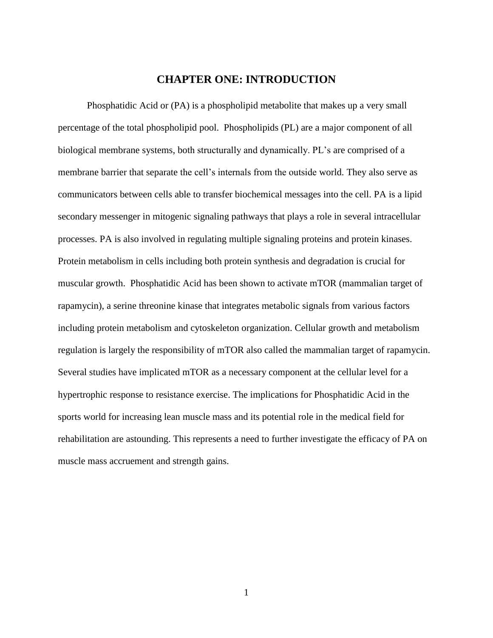# **CHAPTER ONE: INTRODUCTION**

<span id="page-10-0"></span>Phosphatidic Acid or (PA) is a phospholipid metabolite that makes up a very small percentage of the total phospholipid pool. Phospholipids (PL) are a major component of all biological membrane systems, both structurally and dynamically. PL's are comprised of a membrane barrier that separate the cell's internals from the outside world. They also serve as communicators between cells able to transfer biochemical messages into the cell. PA is a lipid secondary messenger in mitogenic signaling pathways that plays a role in several intracellular processes. PA is also involved in regulating multiple signaling proteins and protein kinases. Protein metabolism in cells including both protein synthesis and degradation is crucial for muscular growth. Phosphatidic Acid has been shown to activate mTOR (mammalian target of rapamycin), a serine threonine kinase that integrates metabolic signals from various factors including protein metabolism and cytoskeleton organization. Cellular growth and metabolism regulation is largely the responsibility of mTOR also called the mammalian target of rapamycin. Several studies have implicated mTOR as a necessary component at the cellular level for a hypertrophic response to resistance exercise. The implications for Phosphatidic Acid in the sports world for increasing lean muscle mass and its potential role in the medical field for rehabilitation are astounding. This represents a need to further investigate the efficacy of PA on muscle mass accruement and strength gains.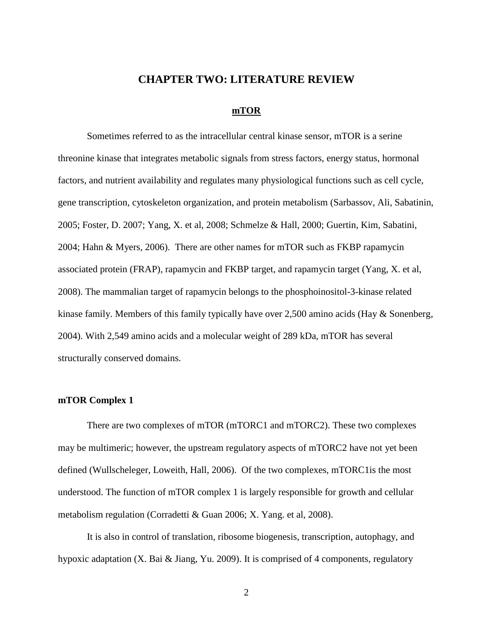#### **CHAPTER TWO: LITERATURE REVIEW**

#### **mTOR**

<span id="page-11-1"></span><span id="page-11-0"></span>Sometimes referred to as the intracellular central kinase sensor, mTOR is a serine threonine kinase that integrates metabolic signals from stress factors, energy status, hormonal factors, and nutrient availability and regulates many physiological functions such as cell cycle, gene transcription, cytoskeleton organization, and protein metabolism (Sarbassov, Ali, Sabatinin, 2005; Foster, D. 2007; Yang, X. et al, 2008; Schmelze & Hall, 2000; Guertin, Kim, Sabatini, 2004; Hahn & Myers, 2006). There are other names for mTOR such as FKBP rapamycin associated protein (FRAP), rapamycin and FKBP target, and rapamycin target (Yang, X. et al, 2008). The mammalian target of rapamycin belongs to the phosphoinositol-3-kinase related kinase family. Members of this family typically have over 2,500 amino acids (Hay & Sonenberg, 2004). With 2,549 amino acids and a molecular weight of 289 kDa, mTOR has several structurally conserved domains.

#### <span id="page-11-2"></span>**mTOR Complex 1**

There are two complexes of mTOR (mTORC1 and mTORC2). These two complexes may be multimeric; however, the upstream regulatory aspects of mTORC2 have not yet been defined (Wullscheleger, Loweith, Hall, 2006). Of the two complexes, mTORC1is the most understood. The function of mTOR complex 1 is largely responsible for growth and cellular metabolism regulation (Corradetti & Guan 2006; X. Yang. et al, 2008).

It is also in control of translation, ribosome biogenesis, transcription, autophagy, and hypoxic adaptation (X. Bai & Jiang, Yu. 2009). It is comprised of 4 components, regulatory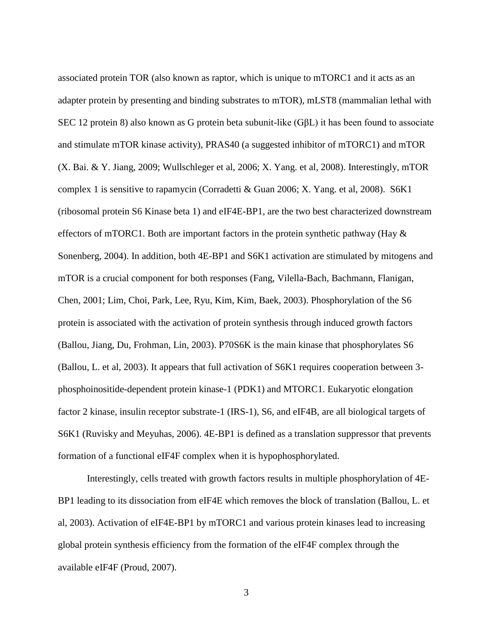associated protein TOR (also known as raptor, which is unique to mTORC1 and it acts as an adapter protein by presenting and binding substrates to mTOR), mLST8 (mammalian lethal with SEC 12 protein 8) also known as G protein beta subunit-like (GβL) it has been found to associate and stimulate mTOR kinase activity), PRAS40 (a suggested inhibitor of mTORC1) and mTOR (X. Bai. & Y. Jiang, 2009; Wullschleger et al, 2006; X. Yang. et al, 2008). Interestingly, mTOR complex 1 is sensitive to rapamycin (Corradetti & Guan 2006; X. Yang. et al, 2008). S6K1 (ribosomal protein S6 Kinase beta 1) and eIF4E-BP1, are the two best characterized downstream effectors of mTORC1. Both are important factors in the protein synthetic pathway (Hay  $\&$ Sonenberg, 2004). In addition, both 4E-BP1 and S6K1 activation are stimulated by mitogens and mTOR is a crucial component for both responses (Fang, Vilella-Bach, Bachmann, Flanigan, Chen, 2001; Lim, Choi, Park, Lee, Ryu, Kim, Kim, Baek, 2003). Phosphorylation of the S6 protein is associated with the activation of protein synthesis through induced growth factors (Ballou, Jiang, Du, Frohman, Lin, 2003). P70S6K is the main kinase that phosphorylates S6 (Ballou, L. et al, 2003). It appears that full activation of S6K1 requires cooperation between 3 phosphoinositide-dependent protein kinase-1 (PDK1) and MTORC1. Eukaryotic elongation factor 2 kinase, insulin receptor substrate-1 (IRS-1), S6, and eIF4B, are all biological targets of S6K1 (Ruvisky and Meyuhas, 2006). 4E-BP1 is defined as a translation suppressor that prevents formation of a functional eIF4F complex when it is hypophosphorylated.

Interestingly, cells treated with growth factors results in multiple phosphorylation of 4E-BP1 leading to its dissociation from eIF4E which removes the block of translation (Ballou, L. et al, 2003). Activation of eIF4E-BP1 by mTORC1 and various protein kinases lead to increasing global protein synthesis efficiency from the formation of the eIF4F complex through the available eIF4F (Proud, 2007).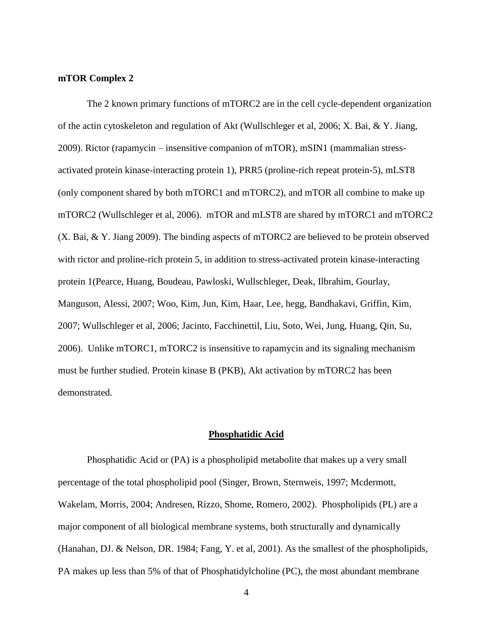#### <span id="page-13-0"></span>**mTOR Complex 2**

The 2 known primary functions of mTORC2 are in the cell cycle-dependent organization of the actin cytoskeleton and regulation of Akt (Wullschleger et al, 2006; X. Bai, & Y. Jiang, 2009). Rictor (rapamycin – insensitive companion of mTOR), mSIN1 (mammalian stressactivated protein kinase-interacting protein 1), PRR5 (proline-rich repeat protein-5), mLST8 (only component shared by both mTORC1 and mTORC2), and mTOR all combine to make up mTORC2 (Wullschleger et al, 2006). mTOR and mLST8 are shared by mTORC1 and mTORC2 (X. Bai, & Y. Jiang 2009). The binding aspects of mTORC2 are believed to be protein observed with rictor and proline-rich protein 5, in addition to stress-activated protein kinase-interacting protein 1(Pearce, Huang, Boudeau, Pawloski, Wullschleger, Deak, Ilbrahim, Gourlay, Manguson, Alessi, 2007; Woo, Kim, Jun, Kim, Haar, Lee, hegg, Bandhakavi, Griffin, Kim, 2007; Wullschleger et al, 2006; Jacinto, Facchinettil, Liu, Soto, Wei, Jung, Huang, Qin, Su, 2006). Unlike mTORC1, mTORC2 is insensitive to rapamycin and its signaling mechanism must be further studied. Protein kinase B (PKB), Akt activation by mTORC2 has been demonstrated.

#### **Phosphatidic Acid**

<span id="page-13-1"></span>Phosphatidic Acid or (PA) is a phospholipid metabolite that makes up a very small percentage of the total phospholipid pool (Singer, Brown, Sternweis, 1997; Mcdermott, Wakelam, Morris, 2004; Andresen, Rizzo, Shome, Romero, 2002). Phospholipids (PL) are a major component of all biological membrane systems, both structurally and dynamically (Hanahan, DJ. & Nelson, DR. 1984; Fang, Y. et al, 2001). As the smallest of the phospholipids, PA makes up less than 5% of that of Phosphatidylcholine (PC), the most abundant membrane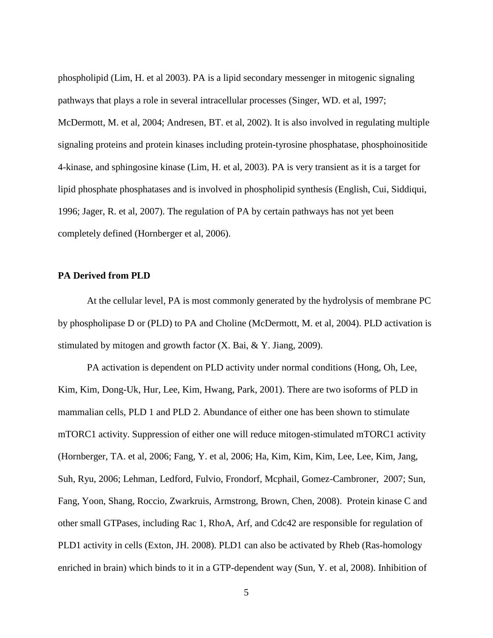phospholipid (Lim, H. et al 2003). PA is a lipid secondary messenger in mitogenic signaling pathways that plays a role in several intracellular processes (Singer, WD. et al, 1997; McDermott, M. et al, 2004; Andresen, BT. et al, 2002). It is also involved in regulating multiple signaling proteins and protein kinases including protein-tyrosine phosphatase, phosphoinositide 4-kinase, and sphingosine kinase (Lim, H. et al, 2003). PA is very transient as it is a target for lipid phosphate phosphatases and is involved in phospholipid synthesis (English, Cui, Siddiqui, 1996; Jager, R. et al, 2007). The regulation of PA by certain pathways has not yet been completely defined (Hornberger et al, 2006).

### <span id="page-14-0"></span>**PA Derived from PLD**

At the cellular level, PA is most commonly generated by the hydrolysis of membrane PC by phospholipase D or (PLD) to PA and Choline (McDermott, M. et al, 2004). PLD activation is stimulated by mitogen and growth factor (X. Bai, & Y. Jiang, 2009).

PA activation is dependent on PLD activity under normal conditions (Hong, Oh, Lee, Kim, Kim, Dong-Uk, Hur, Lee, Kim, Hwang, Park, 2001). There are two isoforms of PLD in mammalian cells, PLD 1 and PLD 2. Abundance of either one has been shown to stimulate mTORC1 activity. Suppression of either one will reduce mitogen-stimulated mTORC1 activity (Hornberger, TA. et al, 2006; Fang, Y. et al, 2006; Ha, Kim, Kim, Kim, Lee, Lee, Kim, Jang, Suh, Ryu, 2006; Lehman, Ledford, Fulvio, Frondorf, Mcphail, Gomez-Cambroner, 2007; Sun, Fang, Yoon, Shang, Roccio, Zwarkruis, Armstrong, Brown, Chen, 2008). Protein kinase C and other small GTPases, including Rac 1, RhoA, Arf, and Cdc42 are responsible for regulation of PLD1 activity in cells (Exton, JH. 2008). PLD1 can also be activated by Rheb (Ras-homology enriched in brain) which binds to it in a GTP-dependent way (Sun, Y. et al, 2008). Inhibition of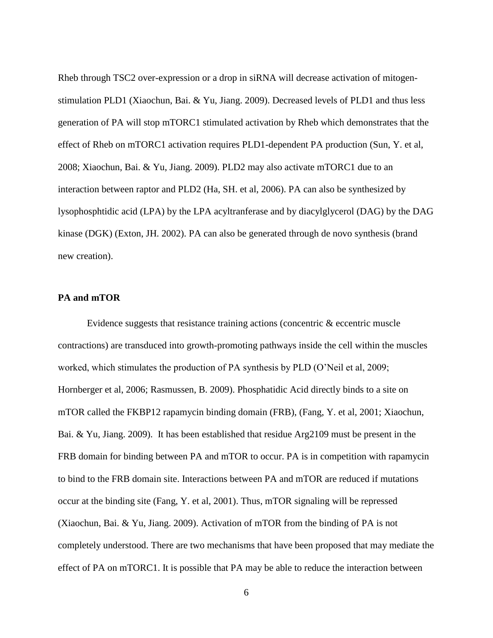Rheb through TSC2 over-expression or a drop in siRNA will decrease activation of mitogenstimulation PLD1 (Xiaochun, Bai. & Yu, Jiang. 2009). Decreased levels of PLD1 and thus less generation of PA will stop mTORC1 stimulated activation by Rheb which demonstrates that the effect of Rheb on mTORC1 activation requires PLD1-dependent PA production (Sun, Y. et al, 2008; Xiaochun, Bai. & Yu, Jiang. 2009). PLD2 may also activate mTORC1 due to an interaction between raptor and PLD2 (Ha, SH. et al, 2006). PA can also be synthesized by lysophosphtidic acid (LPA) by the LPA acyltranferase and by diacylglycerol (DAG) by the DAG kinase (DGK) (Exton, JH. 2002). PA can also be generated through de novo synthesis (brand new creation).

#### <span id="page-15-0"></span>**PA and mTOR**

Evidence suggests that resistance training actions (concentric & eccentric muscle contractions) are transduced into growth-promoting pathways inside the cell within the muscles worked, which stimulates the production of PA synthesis by PLD (O'Neil et al, 2009; Hornberger et al, 2006; Rasmussen, B. 2009). Phosphatidic Acid directly binds to a site on mTOR called the FKBP12 rapamycin binding domain (FRB), (Fang, Y. et al, 2001; Xiaochun, Bai. & Yu, Jiang. 2009). It has been established that residue Arg2109 must be present in the FRB domain for binding between PA and mTOR to occur. PA is in competition with rapamycin to bind to the FRB domain site. Interactions between PA and mTOR are reduced if mutations occur at the binding site (Fang, Y. et al, 2001). Thus, mTOR signaling will be repressed (Xiaochun, Bai. & Yu, Jiang. 2009). Activation of mTOR from the binding of PA is not completely understood. There are two mechanisms that have been proposed that may mediate the effect of PA on mTORC1. It is possible that PA may be able to reduce the interaction between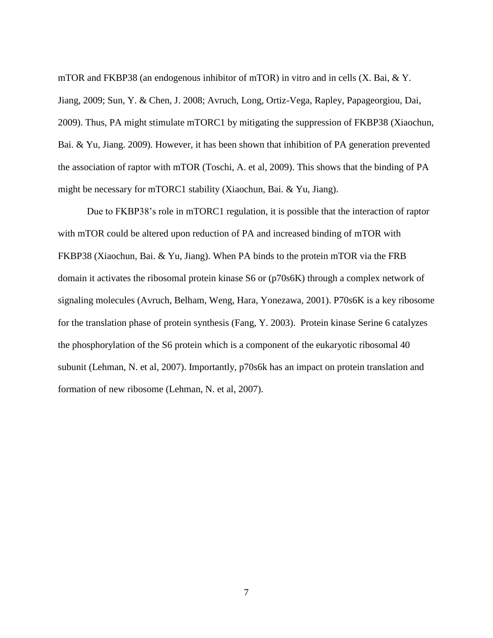mTOR and FKBP38 (an endogenous inhibitor of mTOR) in vitro and in cells (X. Bai, & Y. Jiang, 2009; Sun, Y. & Chen, J. 2008; Avruch, Long, Ortiz-Vega, Rapley, Papageorgiou, Dai, 2009). Thus, PA might stimulate mTORC1 by mitigating the suppression of FKBP38 (Xiaochun, Bai. & Yu, Jiang. 2009). However, it has been shown that inhibition of PA generation prevented the association of raptor with mTOR (Toschi, A. et al, 2009). This shows that the binding of PA might be necessary for mTORC1 stability (Xiaochun, Bai. & Yu, Jiang).

Due to FKBP38's role in mTORC1 regulation, it is possible that the interaction of raptor with mTOR could be altered upon reduction of PA and increased binding of mTOR with FKBP38 (Xiaochun, Bai. & Yu, Jiang). When PA binds to the protein mTOR via the FRB domain it activates the ribosomal protein kinase S6 or (p70s6K) through a complex network of signaling molecules (Avruch, Belham, Weng, Hara, Yonezawa, 2001). P70s6K is a key ribosome for the translation phase of protein synthesis (Fang, Y. 2003). Protein kinase Serine 6 catalyzes the phosphorylation of the S6 protein which is a component of the eukaryotic ribosomal 40 subunit (Lehman, N. et al, 2007). Importantly, p70s6k has an impact on protein translation and formation of new ribosome (Lehman, N. et al, 2007).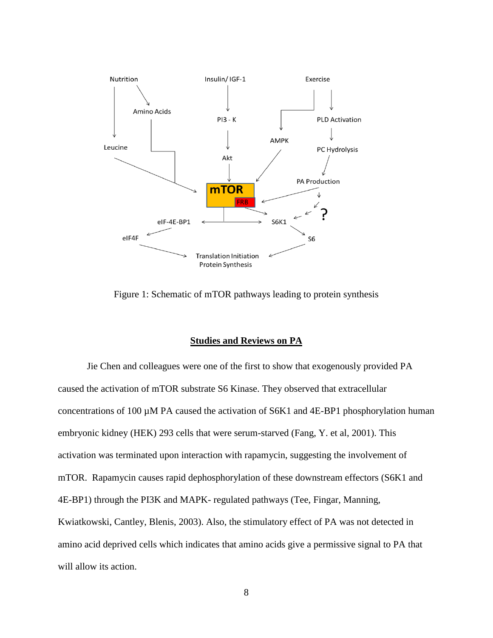

<span id="page-17-1"></span>Figure 1: Schematic of mTOR pathways leading to protein synthesis

# **Studies and Reviews on PA**

<span id="page-17-0"></span>Jie Chen and colleagues were one of the first to show that exogenously provided PA caused the activation of mTOR substrate S6 Kinase. They observed that extracellular concentrations of 100 µM PA caused the activation of S6K1 and 4E-BP1 phosphorylation human embryonic kidney (HEK) 293 cells that were serum-starved (Fang, Y. et al, 2001). This activation was terminated upon interaction with rapamycin, suggesting the involvement of mTOR. Rapamycin causes rapid dephosphorylation of these downstream effectors (S6K1 and 4E-BP1) through the PI3K and MAPK- regulated pathways (Tee, Fingar, Manning, Kwiatkowski, Cantley, Blenis, 2003). Also, the stimulatory effect of PA was not detected in amino acid deprived cells which indicates that amino acids give a permissive signal to PA that will allow its action.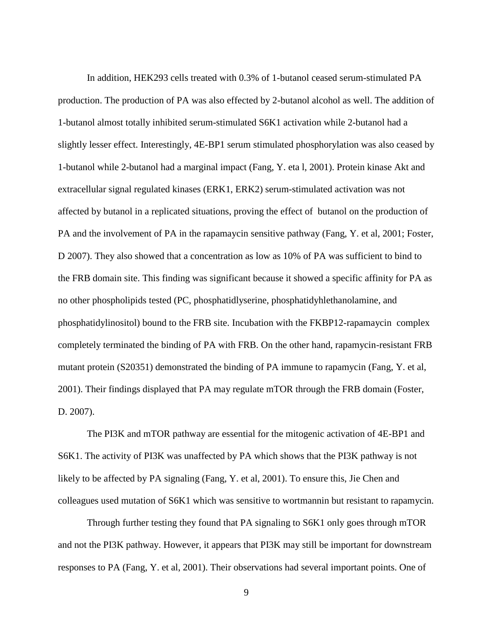In addition, HEK293 cells treated with 0.3% of 1-butanol ceased serum-stimulated PA production. The production of PA was also effected by 2-butanol alcohol as well. The addition of 1-butanol almost totally inhibited serum-stimulated S6K1 activation while 2-butanol had a slightly lesser effect. Interestingly, 4E-BP1 serum stimulated phosphorylation was also ceased by 1-butanol while 2-butanol had a marginal impact (Fang, Y. eta l, 2001). Protein kinase Akt and extracellular signal regulated kinases (ERK1, ERK2) serum-stimulated activation was not affected by butanol in a replicated situations, proving the effect of butanol on the production of PA and the involvement of PA in the rapamaycin sensitive pathway (Fang, Y. et al, 2001; Foster, D 2007). They also showed that a concentration as low as 10% of PA was sufficient to bind to the FRB domain site. This finding was significant because it showed a specific affinity for PA as no other phospholipids tested (PC, phosphatidlyserine, phosphatidyhlethanolamine, and phosphatidylinositol) bound to the FRB site. Incubation with the FKBP12-rapamaycin complex completely terminated the binding of PA with FRB. On the other hand, rapamycin-resistant FRB mutant protein (S20351) demonstrated the binding of PA immune to rapamycin (Fang, Y. et al, 2001). Their findings displayed that PA may regulate mTOR through the FRB domain (Foster, D. 2007).

The PI3K and mTOR pathway are essential for the mitogenic activation of 4E-BP1 and S6K1. The activity of PI3K was unaffected by PA which shows that the PI3K pathway is not likely to be affected by PA signaling (Fang, Y. et al, 2001). To ensure this, Jie Chen and colleagues used mutation of S6K1 which was sensitive to wortmannin but resistant to rapamycin.

Through further testing they found that PA signaling to S6K1 only goes through mTOR and not the PI3K pathway. However, it appears that PI3K may still be important for downstream responses to PA (Fang, Y. et al, 2001). Their observations had several important points. One of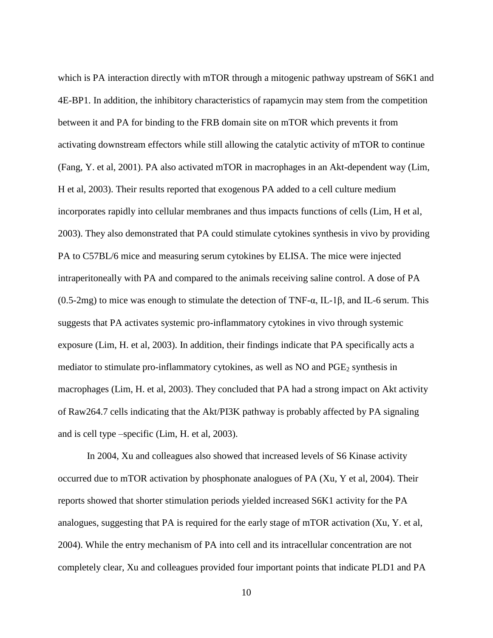which is PA interaction directly with mTOR through a mitogenic pathway upstream of S6K1 and 4E-BP1. In addition, the inhibitory characteristics of rapamycin may stem from the competition between it and PA for binding to the FRB domain site on mTOR which prevents it from activating downstream effectors while still allowing the catalytic activity of mTOR to continue (Fang, Y. et al, 2001). PA also activated mTOR in macrophages in an Akt-dependent way (Lim, H et al, 2003). Their results reported that exogenous PA added to a cell culture medium incorporates rapidly into cellular membranes and thus impacts functions of cells (Lim, H et al, 2003). They also demonstrated that PA could stimulate cytokines synthesis in vivo by providing PA to C57BL/6 mice and measuring serum cytokines by ELISA. The mice were injected intraperitoneally with PA and compared to the animals receiving saline control. A dose of PA (0.5-2mg) to mice was enough to stimulate the detection of TNF- $\alpha$ , IL-1 $\beta$ , and IL-6 serum. This suggests that PA activates systemic pro-inflammatory cytokines in vivo through systemic exposure (Lim, H. et al, 2003). In addition, their findings indicate that PA specifically acts a mediator to stimulate pro-inflammatory cytokines, as well as  $NO$  and  $PGE<sub>2</sub>$  synthesis in macrophages (Lim, H. et al, 2003). They concluded that PA had a strong impact on Akt activity of Raw264.7 cells indicating that the Akt/PI3K pathway is probably affected by PA signaling and is cell type –specific (Lim, H. et al, 2003).

In 2004, Xu and colleagues also showed that increased levels of S6 Kinase activity occurred due to mTOR activation by phosphonate analogues of PA (Xu, Y et al, 2004). Their reports showed that shorter stimulation periods yielded increased S6K1 activity for the PA analogues, suggesting that PA is required for the early stage of mTOR activation (Xu, Y. et al, 2004). While the entry mechanism of PA into cell and its intracellular concentration are not completely clear, Xu and colleagues provided four important points that indicate PLD1 and PA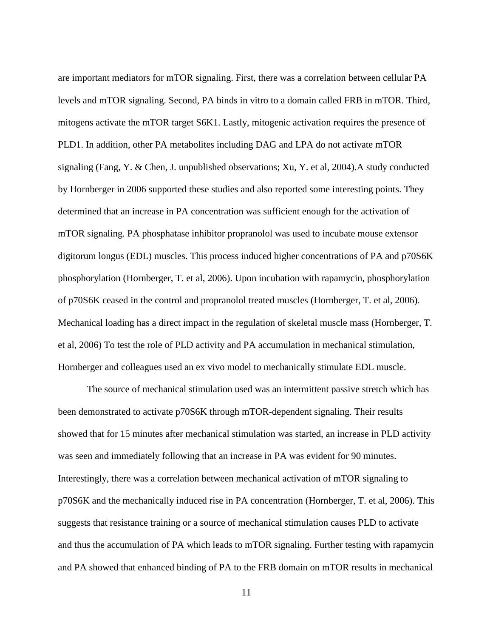are important mediators for mTOR signaling. First, there was a correlation between cellular PA levels and mTOR signaling. Second, PA binds in vitro to a domain called FRB in mTOR. Third, mitogens activate the mTOR target S6K1. Lastly, mitogenic activation requires the presence of PLD1. In addition, other PA metabolites including DAG and LPA do not activate mTOR signaling (Fang, Y. & Chen, J. unpublished observations; Xu, Y. et al, 2004).A study conducted by Hornberger in 2006 supported these studies and also reported some interesting points. They determined that an increase in PA concentration was sufficient enough for the activation of mTOR signaling. PA phosphatase inhibitor propranolol was used to incubate mouse extensor digitorum longus (EDL) muscles. This process induced higher concentrations of PA and p70S6K phosphorylation (Hornberger, T. et al, 2006). Upon incubation with rapamycin, phosphorylation of p70S6K ceased in the control and propranolol treated muscles (Hornberger, T. et al, 2006). Mechanical loading has a direct impact in the regulation of skeletal muscle mass (Hornberger, T. et al, 2006) To test the role of PLD activity and PA accumulation in mechanical stimulation, Hornberger and colleagues used an ex vivo model to mechanically stimulate EDL muscle.

The source of mechanical stimulation used was an intermittent passive stretch which has been demonstrated to activate p70S6K through mTOR-dependent signaling. Their results showed that for 15 minutes after mechanical stimulation was started, an increase in PLD activity was seen and immediately following that an increase in PA was evident for 90 minutes. Interestingly, there was a correlation between mechanical activation of mTOR signaling to p70S6K and the mechanically induced rise in PA concentration (Hornberger, T. et al, 2006). This suggests that resistance training or a source of mechanical stimulation causes PLD to activate and thus the accumulation of PA which leads to mTOR signaling. Further testing with rapamycin and PA showed that enhanced binding of PA to the FRB domain on mTOR results in mechanical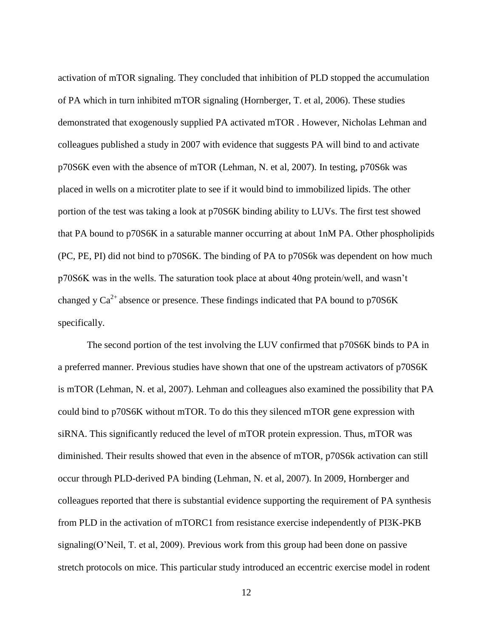activation of mTOR signaling. They concluded that inhibition of PLD stopped the accumulation of PA which in turn inhibited mTOR signaling (Hornberger, T. et al, 2006). These studies demonstrated that exogenously supplied PA activated mTOR . However, Nicholas Lehman and colleagues published a study in 2007 with evidence that suggests PA will bind to and activate p70S6K even with the absence of mTOR (Lehman, N. et al, 2007). In testing, p70S6k was placed in wells on a microtiter plate to see if it would bind to immobilized lipids. The other portion of the test was taking a look at p70S6K binding ability to LUVs. The first test showed that PA bound to p70S6K in a saturable manner occurring at about 1nM PA. Other phospholipids (PC, PE, PI) did not bind to p70S6K. The binding of PA to p70S6k was dependent on how much p70S6K was in the wells. The saturation took place at about 40ng protein/well, and wasn't changed y  $Ca^{2+}$  absence or presence. These findings indicated that PA bound to p70S6K specifically.

The second portion of the test involving the LUV confirmed that p70S6K binds to PA in a preferred manner. Previous studies have shown that one of the upstream activators of p70S6K is mTOR (Lehman, N. et al, 2007). Lehman and colleagues also examined the possibility that PA could bind to p70S6K without mTOR. To do this they silenced mTOR gene expression with siRNA. This significantly reduced the level of mTOR protein expression. Thus, mTOR was diminished. Their results showed that even in the absence of mTOR, p70S6k activation can still occur through PLD-derived PA binding (Lehman, N. et al, 2007). In 2009, Hornberger and colleagues reported that there is substantial evidence supporting the requirement of PA synthesis from PLD in the activation of mTORC1 from resistance exercise independently of PI3K-PKB signaling(O'Neil, T. et al, 2009). Previous work from this group had been done on passive stretch protocols on mice. This particular study introduced an eccentric exercise model in rodent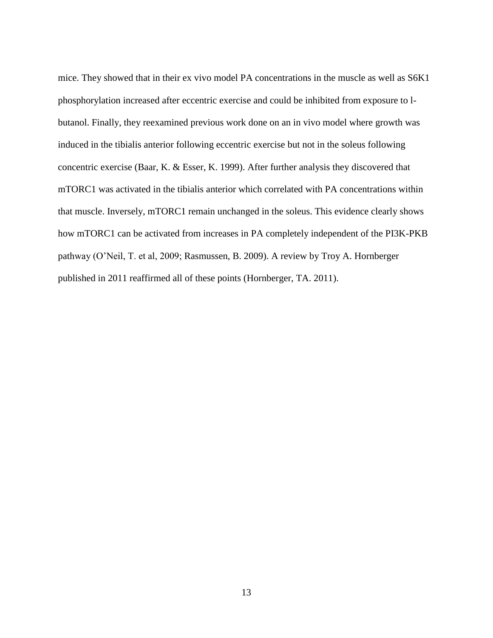mice. They showed that in their ex vivo model PA concentrations in the muscle as well as S6K1 phosphorylation increased after eccentric exercise and could be inhibited from exposure to lbutanol. Finally, they reexamined previous work done on an in vivo model where growth was induced in the tibialis anterior following eccentric exercise but not in the soleus following concentric exercise (Baar, K. & Esser, K. 1999). After further analysis they discovered that mTORC1 was activated in the tibialis anterior which correlated with PA concentrations within that muscle. Inversely, mTORC1 remain unchanged in the soleus. This evidence clearly shows how mTORC1 can be activated from increases in PA completely independent of the PI3K-PKB pathway (O'Neil, T. et al, 2009; Rasmussen, B. 2009). A review by Troy A. Hornberger published in 2011 reaffirmed all of these points (Hornberger, TA. 2011).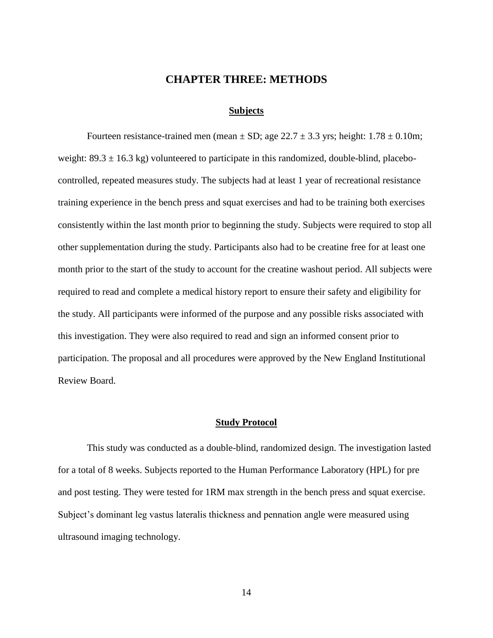### **CHAPTER THREE: METHODS**

#### **Subjects**

<span id="page-23-1"></span><span id="page-23-0"></span>Fourteen resistance-trained men (mean  $\pm$  SD; age 22.7  $\pm$  3.3 yrs; height: 1.78  $\pm$  0.10m; weight:  $89.3 \pm 16.3$  kg) volunteered to participate in this randomized, double-blind, placebocontrolled, repeated measures study. The subjects had at least 1 year of recreational resistance training experience in the bench press and squat exercises and had to be training both exercises consistently within the last month prior to beginning the study. Subjects were required to stop all other supplementation during the study. Participants also had to be creatine free for at least one month prior to the start of the study to account for the creatine washout period. All subjects were required to read and complete a medical history report to ensure their safety and eligibility for the study. All participants were informed of the purpose and any possible risks associated with this investigation. They were also required to read and sign an informed consent prior to participation. The proposal and all procedures were approved by the New England Institutional Review Board.

#### **Study Protocol**

<span id="page-23-2"></span>This study was conducted as a double-blind, randomized design. The investigation lasted for a total of 8 weeks. Subjects reported to the Human Performance Laboratory (HPL) for pre and post testing. They were tested for 1RM max strength in the bench press and squat exercise. Subject's dominant leg vastus lateralis thickness and pennation angle were measured using ultrasound imaging technology.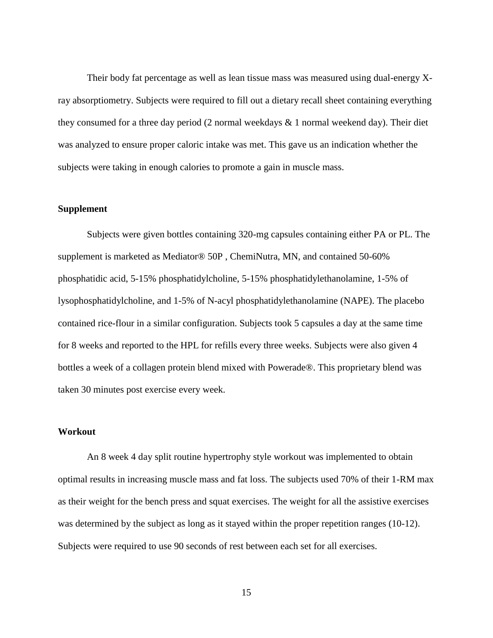Their body fat percentage as well as lean tissue mass was measured using dual-energy Xray absorptiometry. Subjects were required to fill out a dietary recall sheet containing everything they consumed for a three day period (2 normal weekdays & 1 normal weekend day). Their diet was analyzed to ensure proper caloric intake was met. This gave us an indication whether the subjects were taking in enough calories to promote a gain in muscle mass.

#### <span id="page-24-0"></span>**Supplement**

Subjects were given bottles containing 320-mg capsules containing either PA or PL. The supplement is marketed as Mediator® 50P , ChemiNutra, MN, and contained 50-60% phosphatidic acid, 5-15% phosphatidylcholine, 5-15% phosphatidylethanolamine, 1-5% of lysophosphatidylcholine, and 1-5% of N-acyl phosphatidylethanolamine (NAPE). The placebo contained rice-flour in a similar configuration. Subjects took 5 capsules a day at the same time for 8 weeks and reported to the HPL for refills every three weeks. Subjects were also given 4 bottles a week of a collagen protein blend mixed with Powerade®. This proprietary blend was taken 30 minutes post exercise every week.

#### <span id="page-24-1"></span>**Workout**

An 8 week 4 day split routine hypertrophy style workout was implemented to obtain optimal results in increasing muscle mass and fat loss. The subjects used 70% of their 1-RM max as their weight for the bench press and squat exercises. The weight for all the assistive exercises was determined by the subject as long as it stayed within the proper repetition ranges (10-12). Subjects were required to use 90 seconds of rest between each set for all exercises.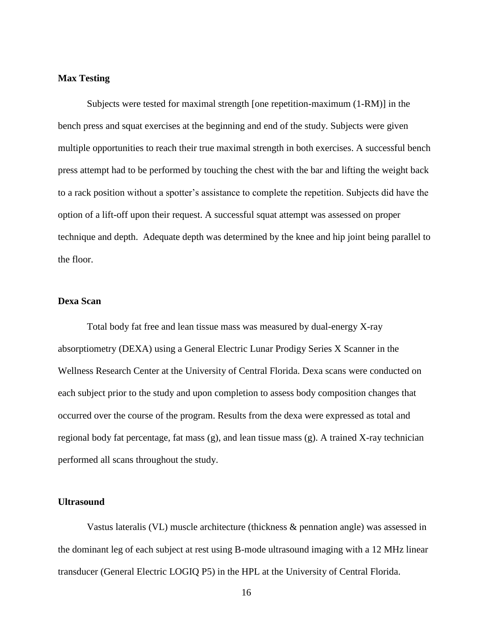#### <span id="page-25-0"></span>**Max Testing**

Subjects were tested for maximal strength [one repetition-maximum (1-RM)] in the bench press and squat exercises at the beginning and end of the study. Subjects were given multiple opportunities to reach their true maximal strength in both exercises. A successful bench press attempt had to be performed by touching the chest with the bar and lifting the weight back to a rack position without a spotter's assistance to complete the repetition. Subjects did have the option of a lift-off upon their request. A successful squat attempt was assessed on proper technique and depth. Adequate depth was determined by the knee and hip joint being parallel to the floor.

# <span id="page-25-1"></span>**Dexa Scan**

Total body fat free and lean tissue mass was measured by dual-energy X-ray absorptiometry (DEXA) using a General Electric Lunar Prodigy Series X Scanner in the Wellness Research Center at the University of Central Florida. Dexa scans were conducted on each subject prior to the study and upon completion to assess body composition changes that occurred over the course of the program. Results from the dexa were expressed as total and regional body fat percentage, fat mass  $(g)$ , and lean tissue mass  $(g)$ . A trained X-ray technician performed all scans throughout the study.

#### <span id="page-25-2"></span>**Ultrasound**

Vastus lateralis (VL) muscle architecture (thickness & pennation angle) was assessed in the dominant leg of each subject at rest using B-mode ultrasound imaging with a 12 MHz linear transducer (General Electric LOGIQ P5) in the HPL at the University of Central Florida.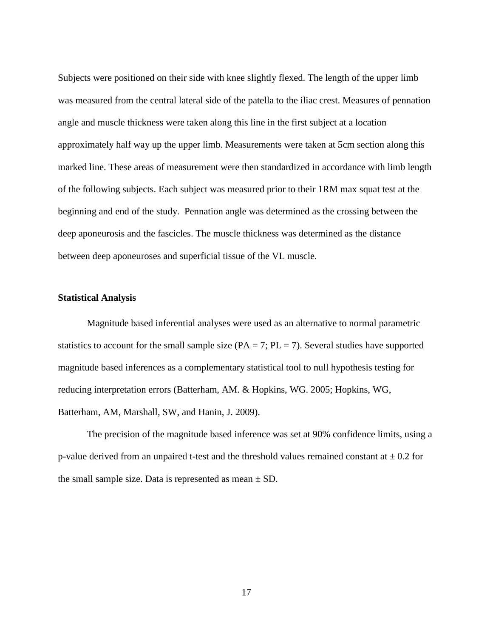Subjects were positioned on their side with knee slightly flexed. The length of the upper limb was measured from the central lateral side of the patella to the iliac crest. Measures of pennation angle and muscle thickness were taken along this line in the first subject at a location approximately half way up the upper limb. Measurements were taken at 5cm section along this marked line. These areas of measurement were then standardized in accordance with limb length of the following subjects. Each subject was measured prior to their 1RM max squat test at the beginning and end of the study. Pennation angle was determined as the crossing between the deep aponeurosis and the fascicles. The muscle thickness was determined as the distance between deep aponeuroses and superficial tissue of the VL muscle.

#### <span id="page-26-0"></span>**Statistical Analysis**

Magnitude based inferential analyses were used as an alternative to normal parametric statistics to account for the small sample size ( $PA = 7$ ;  $PL = 7$ ). Several studies have supported magnitude based inferences as a complementary statistical tool to null hypothesis testing for reducing interpretation errors (Batterham, AM. & Hopkins, WG. 2005; Hopkins, WG, Batterham, AM, Marshall, SW, and Hanin, J. 2009).

The precision of the magnitude based inference was set at 90% confidence limits, using a p-value derived from an unpaired t-test and the threshold values remained constant at  $\pm$  0.2 for the small sample size. Data is represented as mean  $\pm$  SD.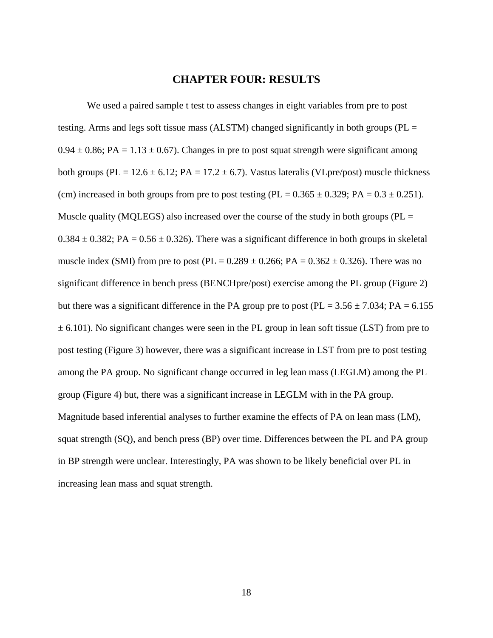### **CHAPTER FOUR: RESULTS**

<span id="page-27-0"></span>We used a paired sample t test to assess changes in eight variables from pre to post testing. Arms and legs soft tissue mass (ALSTM) changed significantly in both groups (PL =  $0.94 \pm 0.86$ ; PA = 1.13  $\pm$  0.67). Changes in pre to post squat strength were significant among both groups (PL = 12.6  $\pm$  6.12; PA = 17.2  $\pm$  6.7). Vastus lateralis (VLpre/post) muscle thickness (cm) increased in both groups from pre to post testing (PL =  $0.365 \pm 0.329$ ; PA =  $0.3 \pm 0.251$ ). Muscle quality (MQLEGS) also increased over the course of the study in both groups ( $PL =$  $0.384 \pm 0.382$ ; PA =  $0.56 \pm 0.326$ ). There was a significant difference in both groups in skeletal muscle index (SMI) from pre to post (PL =  $0.289 \pm 0.266$ ; PA =  $0.362 \pm 0.326$ ). There was no significant difference in bench press (BENCHpre/post) exercise among the PL group (Figure 2) but there was a significant difference in the PA group pre to post ( $PL = 3.56 \pm 7.034$ ;  $PA = 6.155$  $\pm$  6.101). No significant changes were seen in the PL group in lean soft tissue (LST) from pre to post testing (Figure 3) however, there was a significant increase in LST from pre to post testing among the PA group. No significant change occurred in leg lean mass (LEGLM) among the PL group (Figure 4) but, there was a significant increase in LEGLM with in the PA group. Magnitude based inferential analyses to further examine the effects of PA on lean mass (LM), squat strength (SQ), and bench press (BP) over time. Differences between the PL and PA group in BP strength were unclear. Interestingly, PA was shown to be likely beneficial over PL in increasing lean mass and squat strength.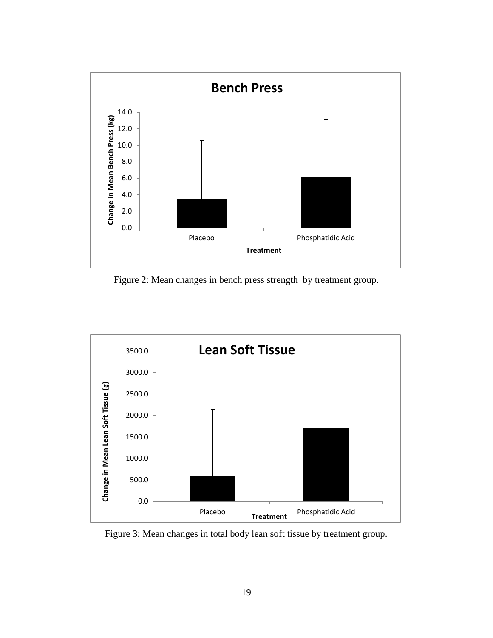

<span id="page-28-0"></span>Figure 2: Mean changes in bench press strength by treatment group.



<span id="page-28-1"></span>Figure 3: Mean changes in total body lean soft tissue by treatment group.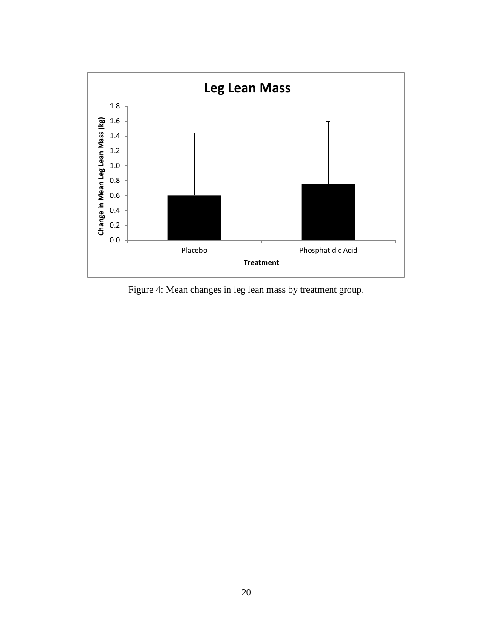

<span id="page-29-0"></span>Figure 4: Mean changes in leg lean mass by treatment group.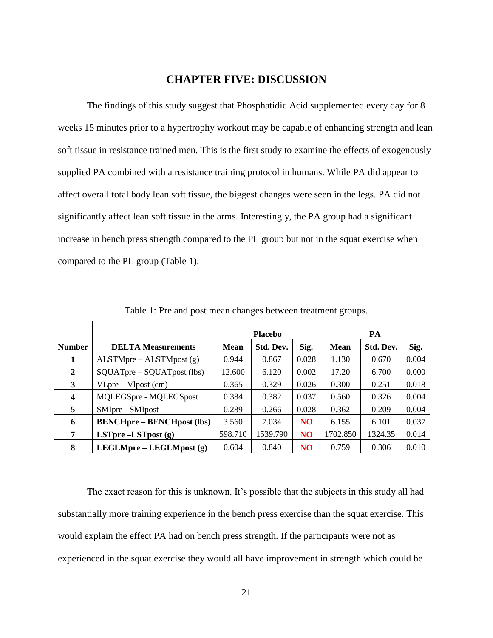# **CHAPTER FIVE: DISCUSSION**

<span id="page-30-0"></span>The findings of this study suggest that Phosphatidic Acid supplemented every day for 8 weeks 15 minutes prior to a hypertrophy workout may be capable of enhancing strength and lean soft tissue in resistance trained men. This is the first study to examine the effects of exogenously supplied PA combined with a resistance training protocol in humans. While PA did appear to affect overall total body lean soft tissue, the biggest changes were seen in the legs. PA did not significantly affect lean soft tissue in the arms. Interestingly, the PA group had a significant increase in bench press strength compared to the PL group but not in the squat exercise when compared to the PL group (Table 1).

<span id="page-30-1"></span>

|               |                                   | <b>Placebo</b> |           | PA              |          |           |       |
|---------------|-----------------------------------|----------------|-----------|-----------------|----------|-----------|-------|
| <b>Number</b> | <b>DELTA Measurements</b>         | <b>Mean</b>    | Std. Dev. | Sig.            | Mean     | Std. Dev. | Sig.  |
|               | $ALSTMpre - ALSTMpost(g)$         | 0.944          | 0.867     | 0.028           | 1.130    | 0.670     | 0.004 |
| $\mathbf{2}$  | $SQUATpre-SQUATpost$ (lbs)        | 12.600         | 6.120     | 0.002           | 17.20    | 6.700     | 0.000 |
| 3             | $VLpre - Vlpost$ (cm)             | 0.365          | 0.329     | 0.026           | 0.300    | 0.251     | 0.018 |
| 4             | MQLEGSpre - MQLEGSpost            | 0.384          | 0.382     | 0.037           | 0.560    | 0.326     | 0.004 |
| 5             | SMIpre - SMIpost                  | 0.289          | 0.266     | 0.028           | 0.362    | 0.209     | 0.004 |
| 6             | <b>BENCHpre – BENCHpost (lbs)</b> | 3.560          | 7.034     | N <sub>O</sub>  | 6.155    | 6.101     | 0.037 |
| 7             | LSTpre $-LSTpost(g)$              | 598.710        | 1539.790  | NO <sub>1</sub> | 1702.850 | 1324.35   | 0.014 |
| 8             | LEGLMpre – LEGLMpost (g)          | 0.604          | 0.840     | N <sub>O</sub>  | 0.759    | 0.306     | 0.010 |

Table 1: Pre and post mean changes between treatment groups.

The exact reason for this is unknown. It's possible that the subjects in this study all had substantially more training experience in the bench press exercise than the squat exercise. This would explain the effect PA had on bench press strength. If the participants were not as experienced in the squat exercise they would all have improvement in strength which could be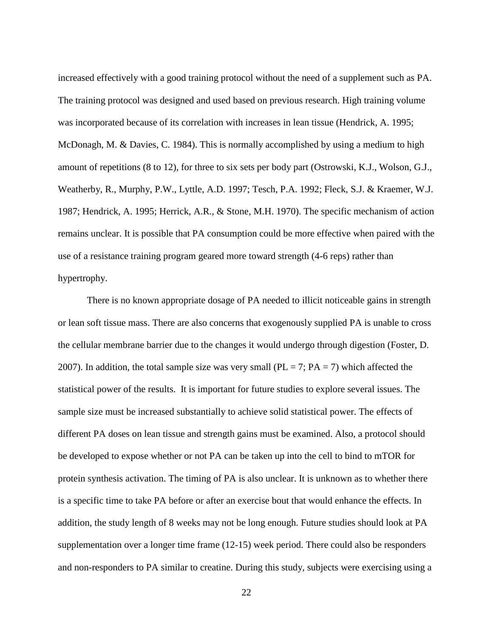increased effectively with a good training protocol without the need of a supplement such as PA. The training protocol was designed and used based on previous research. High training volume was incorporated because of its correlation with increases in lean tissue (Hendrick, A. 1995; McDonagh, M. & Davies, C. 1984). This is normally accomplished by using a medium to high amount of repetitions (8 to 12), for three to six sets per body part (Ostrowski, K.J., Wolson, G.J., Weatherby, R., Murphy, P.W., Lyttle, A.D. 1997; Tesch, P.A. 1992; Fleck, S.J. & Kraemer, W.J. 1987; Hendrick, A. 1995; Herrick, A.R., & Stone, M.H. 1970). The specific mechanism of action remains unclear. It is possible that PA consumption could be more effective when paired with the use of a resistance training program geared more toward strength (4-6 reps) rather than hypertrophy.

There is no known appropriate dosage of PA needed to illicit noticeable gains in strength or lean soft tissue mass. There are also concerns that exogenously supplied PA is unable to cross the cellular membrane barrier due to the changes it would undergo through digestion (Foster, D. 2007). In addition, the total sample size was very small ( $PL = 7$ ;  $PA = 7$ ) which affected the statistical power of the results. It is important for future studies to explore several issues. The sample size must be increased substantially to achieve solid statistical power. The effects of different PA doses on lean tissue and strength gains must be examined. Also, a protocol should be developed to expose whether or not PA can be taken up into the cell to bind to mTOR for protein synthesis activation. The timing of PA is also unclear. It is unknown as to whether there is a specific time to take PA before or after an exercise bout that would enhance the effects. In addition, the study length of 8 weeks may not be long enough. Future studies should look at PA supplementation over a longer time frame (12-15) week period. There could also be responders and non-responders to PA similar to creatine. During this study, subjects were exercising using a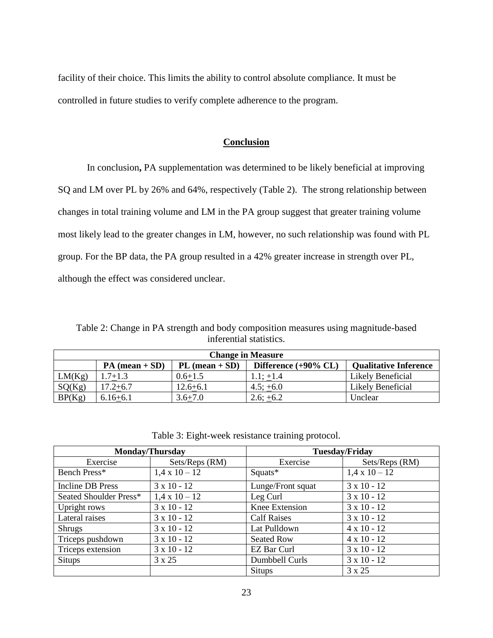<span id="page-32-0"></span>facility of their choice. This limits the ability to control absolute compliance. It must be controlled in future studies to verify complete adherence to the program.

# **Conclusion**

In conclusion**,** PA supplementation was determined to be likely beneficial at improving SQ and LM over PL by 26% and 64%, respectively (Table 2). The strong relationship between changes in total training volume and LM in the PA group suggest that greater training volume most likely lead to the greater changes in LM, however, no such relationship was found with PL group. For the BP data, the PA group resulted in a 42% greater increase in strength over PL, although the effect was considered unclear.

<span id="page-32-1"></span>Table 2: Change in PA strength and body composition measures using magnitude-based inferential statistics.

| <b>Change in Measure</b> |                  |                  |                            |                              |  |  |
|--------------------------|------------------|------------------|----------------------------|------------------------------|--|--|
|                          | $PA (mean + SD)$ | $PL (mean + SD)$ | Difference $(+90\% \, CL)$ | <b>Qualitative Inference</b> |  |  |
| LM(Kg)                   | $1.7 + 1.3$      | $0.6 + 1.5$      | $1.1; +1.4$                | Likely Beneficial            |  |  |
| SQ(Kg)                   | $17.2 + 6.7$     | $12.6 + 6.1$     | $4.5; +6.0$                | Likely Beneficial            |  |  |
| BP(Kg)                   | $6.16 + 6.1$     | $3.6 + 7.0$      | $2.6; +6.2$                | Unclear                      |  |  |

| Table 3: Eight-week resistance training protocol. |  |
|---------------------------------------------------|--|
|                                                   |  |

<span id="page-32-2"></span>

| <b>Monday/Thursday</b>  |                      | <b>Tuesday/Friday</b> |                      |  |
|-------------------------|----------------------|-----------------------|----------------------|--|
| Exercise                | Sets/Reps (RM)       | Exercise              | Sets/Reps (RM)       |  |
| Bench Press*            | $1.4 \times 10 - 12$ | Squats*               | $1.4 \times 10 - 12$ |  |
| <b>Incline DB Press</b> | $3 \times 10 - 12$   | Lunge/Front squat     | $3 \times 10 - 12$   |  |
| Seated Shoulder Press*  | $1.4 \times 10 - 12$ | Leg Curl              | $3 \times 10 - 12$   |  |
| Upright rows            | $3 \times 10 - 12$   | Knee Extension        | $3 \times 10 - 12$   |  |
| Lateral raises          | $3 \times 10 - 12$   | <b>Calf Raises</b>    | $3 \times 10 - 12$   |  |
| <b>Shrugs</b>           | $3 \times 10 - 12$   | Lat Pulldown          | $4 \times 10 - 12$   |  |
| Triceps pushdown        | $3 \times 10 - 12$   | <b>Seated Row</b>     | $4 \times 10 - 12$   |  |
| Triceps extension       | $3 \times 10 - 12$   | EZ Bar Curl           | $3 \times 10 - 12$   |  |
| <b>Situps</b>           | 3 x 25               | Dumbbell Curls        | $3 \times 10 - 12$   |  |
|                         |                      | <b>Situps</b>         | 3 x 25               |  |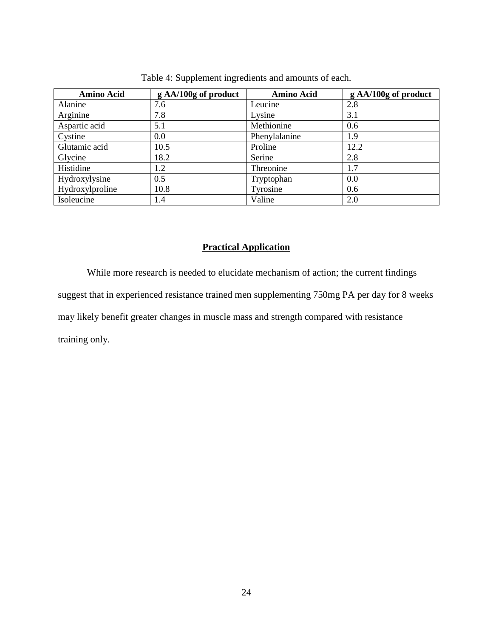<span id="page-33-1"></span>

| <b>Amino Acid</b> | g AA/100g of product | <b>Amino Acid</b> | g AA/100g of product |
|-------------------|----------------------|-------------------|----------------------|
| Alanine           | 7.6                  | Leucine           | 2.8                  |
| Arginine          | 7.8                  | Lysine            | 3.1                  |
| Aspartic acid     | 5.1                  | Methionine        | 0.6                  |
| Cystine           | 0.0                  | Phenylalanine     | 1.9                  |
| Glutamic acid     | 10.5                 | Proline           | 12.2                 |
| Glycine           | 18.2                 | Serine            | 2.8                  |
| Histidine         | 1.2                  | Threonine         | 1.7                  |
| Hydroxylysine     | 0.5                  | Tryptophan        | 0.0                  |
| Hydroxylproline   | 10.8                 | Tyrosine          | 0.6                  |
| Isoleucine        | 1.4                  | Valine            | 2.0                  |

Table 4: Supplement ingredients and amounts of each.

# **Practical Application**

<span id="page-33-0"></span>While more research is needed to elucidate mechanism of action; the current findings suggest that in experienced resistance trained men supplementing 750mg PA per day for 8 weeks may likely benefit greater changes in muscle mass and strength compared with resistance training only.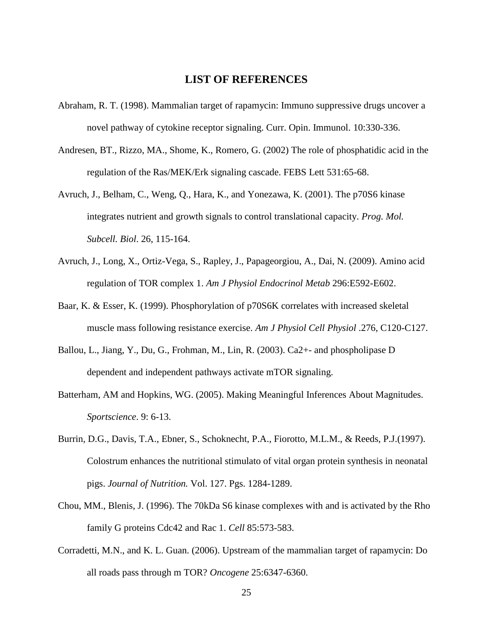# **LIST OF REFERENCES**

- <span id="page-34-0"></span>Abraham, R. T. (1998). Mammalian target of rapamycin: Immuno suppressive drugs uncover a novel pathway of cytokine receptor signaling. Curr. Opin. Immunol. 10:330-336.
- Andresen, BT., Rizzo, MA., Shome, K., Romero, G. (2002) The role of phosphatidic acid in the regulation of the Ras/MEK/Erk signaling cascade. FEBS Lett 531:65-68.
- Avruch, J., Belham, C., Weng, Q., Hara, K., and Yonezawa, K. (2001). The p70S6 kinase integrates nutrient and growth signals to control translational capacity. *Prog. Mol. Subcell. Biol*. 26, 115-164.
- Avruch, J., Long, X., Ortiz-Vega, S., Rapley, J., Papageorgiou, A., Dai, N. (2009). Amino acid regulation of TOR complex 1. *Am J Physiol Endocrinol Metab* 296:E592-E602.
- Baar, K. & Esser, K. (1999). Phosphorylation of p70S6K correlates with increased skeletal muscle mass following resistance exercise. *Am J Physiol Cell Physiol* .276, C120-C127.
- Ballou, L., Jiang, Y., Du, G., Frohman, M., Lin, R. (2003). Ca2+- and phospholipase D dependent and independent pathways activate mTOR signaling.
- Batterham, AM and Hopkins, WG. (2005). Making Meaningful Inferences About Magnitudes. *Sportscience*. 9: 6-13.
- Burrin, D.G., Davis, T.A., Ebner, S., Schoknecht, P.A., Fiorotto, M.L.M., & Reeds, P.J.(1997). Colostrum enhances the nutritional stimulato of vital organ protein synthesis in neonatal pigs. *Journal of Nutrition.* Vol. 127. Pgs. 1284-1289.
- Chou, MM., Blenis, J. (1996). The 70kDa S6 kinase complexes with and is activated by the Rho family G proteins Cdc42 and Rac 1. *Cell* 85:573-583.
- Corradetti, M.N., and K. L. Guan. (2006). Upstream of the mammalian target of rapamycin: Do all roads pass through m TOR? *Oncogene* 25:6347-6360.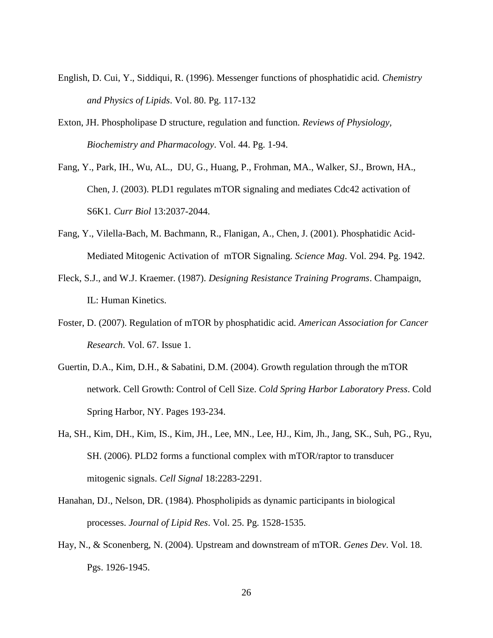- English, D. Cui, Y., Siddiqui, R. (1996). Messenger functions of phosphatidic acid*. Chemistry and Physics of Lipids*. Vol. 80. Pg. 117-132
- Exton, JH. Phospholipase D structure, regulation and function*. Reviews of Physiology, Biochemistry and Pharmacology*. Vol. 44. Pg. 1-94.
- Fang, Y., Park, IH., Wu, AL., DU, G., Huang, P., Frohman, MA., Walker, SJ., Brown, HA., Chen, J. (2003). PLD1 regulates mTOR signaling and mediates Cdc42 activation of S6K1*. Curr Biol* 13:2037-2044.
- Fang, Y., Vilella-Bach, M. Bachmann, R., Flanigan, A., Chen, J. (2001). Phosphatidic Acid-Mediated Mitogenic Activation of mTOR Signaling. *Science Mag*. Vol. 294. Pg. 1942.
- Fleck, S.J., and W.J. Kraemer. (1987). *Designing Resistance Training Programs*. Champaign, IL: Human Kinetics.
- Foster, D. (2007). Regulation of mTOR by phosphatidic acid. *American Association for Cancer Research*. Vol. 67. Issue 1.
- Guertin, D.A., Kim, D.H., & Sabatini, D.M. (2004). Growth regulation through the mTOR network. Cell Growth: Control of Cell Size. *Cold Spring Harbor Laboratory Press*. Cold Spring Harbor, NY. Pages 193-234.
- Ha, SH., Kim, DH., Kim, IS., Kim, JH., Lee, MN., Lee, HJ., Kim, Jh., Jang, SK., Suh, PG., Ryu, SH. (2006). PLD2 forms a functional complex with mTOR/raptor to transducer mitogenic signals. *Cell Signal* 18:2283-2291.
- Hanahan, DJ., Nelson, DR. (1984). Phospholipids as dynamic participants in biological processes. *Journal of Lipid Res*. Vol. 25. Pg. 1528-1535.
- Hay, N., & Sconenberg, N. (2004). Upstream and downstream of mTOR. *Genes Dev*. Vol. 18. Pgs. 1926-1945.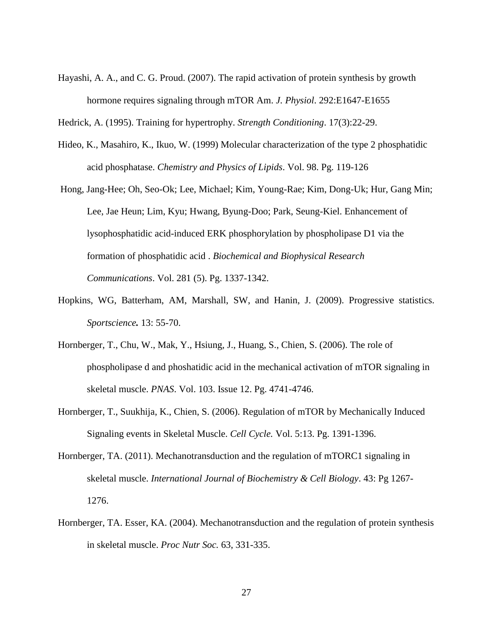Hayashi, A. A., and C. G. Proud. (2007). The rapid activation of protein synthesis by growth hormone requires signaling through mTOR Am. *J. Physiol*. 292:E1647-E1655

Hedrick, A. (1995). Training for hypertrophy. *Strength Conditioning*. 17(3):22-29.

- Hideo, K., Masahiro, K., Ikuo, W. (1999) Molecular characterization of the type 2 phosphatidic acid phosphatase. *Chemistry and Physics of Lipids*. Vol. 98. Pg. 119-126
- Hong, Jang-Hee; Oh, Seo-Ok; Lee, Michael; Kim, Young-Rae; Kim, Dong-Uk; Hur, Gang Min; Lee, Jae Heun; Lim, Kyu; Hwang, Byung-Doo; Park, Seung-Kiel. Enhancement of lysophosphatidic acid-induced ERK phosphorylation by phospholipase D1 via the formation of phosphatidic acid . *Biochemical and Biophysical Research Communications*. Vol. 281 (5). Pg. 1337-1342.
- Hopkins, WG, Batterham, AM, Marshall, SW, and Hanin, J. (2009). Progressive statistics. *Sportscience.* 13: 55-70.
- Hornberger, T., Chu, W., Mak, Y., Hsiung, J., Huang, S., Chien, S. (2006). The role of phospholipase d and phoshatidic acid in the mechanical activation of mTOR signaling in skeletal muscle. *PNAS*. Vol. 103. Issue 12. Pg. 4741-4746.
- Hornberger, T., Suukhija, K., Chien, S. (2006). Regulation of mTOR by Mechanically Induced Signaling events in Skeletal Muscle. *Cell Cycle.* Vol. 5:13. Pg. 1391-1396.
- Hornberger, TA. (2011). Mechanotransduction and the regulation of mTORC1 signaling in skeletal muscle. *International Journal of Biochemistry & Cell Biology*. 43: Pg 1267- 1276.
- Hornberger, TA. Esser, KA. (2004). Mechanotransduction and the regulation of protein synthesis in skeletal muscle. *Proc Nutr Soc.* 63, 331-335.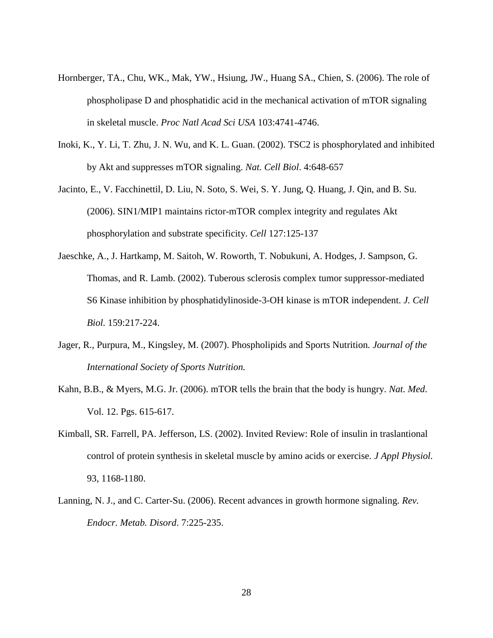- Hornberger, TA., Chu, WK., Mak, YW., Hsiung, JW., Huang SA., Chien, S. (2006). The role of phospholipase D and phosphatidic acid in the mechanical activation of mTOR signaling in skeletal muscle. *Proc Natl Acad Sci USA* 103:4741-4746.
- Inoki, K., Y. Li, T. Zhu, J. N. Wu, and K. L. Guan. (2002). TSC2 is phosphorylated and inhibited by Akt and suppresses mTOR signaling. *Nat. Cell Biol*. 4:648-657
- Jacinto, E., V. Facchinettil, D. Liu, N. Soto, S. Wei, S. Y. Jung, Q. Huang, J. Qin, and B. Su. (2006). SIN1/MIP1 maintains rictor-mTOR complex integrity and regulates Akt phosphorylation and substrate specificity. *Cell* 127:125-137
- Jaeschke, A., J. Hartkamp, M. Saitoh, W. Roworth, T. Nobukuni, A. Hodges, J. Sampson, G. Thomas, and R. Lamb. (2002). Tuberous sclerosis complex tumor suppressor-mediated S6 Kinase inhibition by phosphatidylinoside-3-OH kinase is mTOR independent. *J. Cell Biol.* 159:217-224.
- Jager, R., Purpura, M., Kingsley, M. (2007). Phospholipids and Sports Nutrition*. Journal of the International Society of Sports Nutrition.*
- Kahn, B.B., & Myers, M.G. Jr. (2006). mTOR tells the brain that the body is hungry. *Nat. Med*. Vol. 12. Pgs. 615-617.
- Kimball, SR. Farrell, PA. Jefferson, LS. (2002). Invited Review: Role of insulin in traslantional control of protein synthesis in skeletal muscle by amino acids or exercise. *J Appl Physiol.* 93, 1168-1180.
- Lanning, N. J., and C. Carter-Su. (2006). Recent advances in growth hormone signaling. *Rev. Endocr. Metab. Disord*. 7:225-235.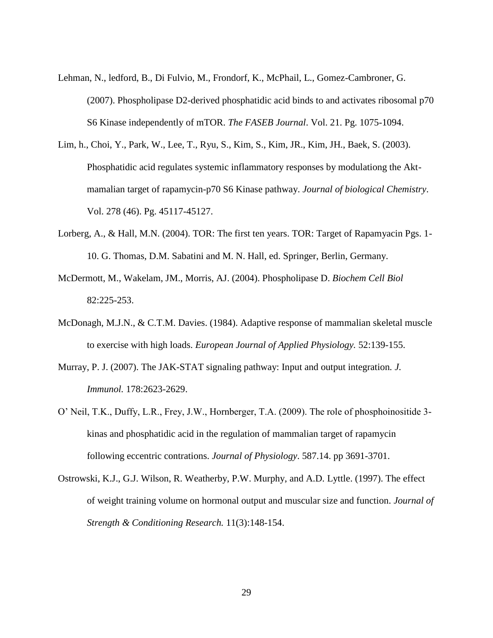- Lehman, N., ledford, B., Di Fulvio, M., Frondorf, K., McPhail, L., Gomez-Cambroner, G. (2007). Phospholipase D2-derived phosphatidic acid binds to and activates ribosomal p70 S6 Kinase independently of mTOR. *The FASEB Journal*. Vol. 21. Pg. 1075-1094.
- Lim, h., Choi, Y., Park, W., Lee, T., Ryu, S., Kim, S., Kim, JR., Kim, JH., Baek, S. (2003). Phosphatidic acid regulates systemic inflammatory responses by modulationg the Aktmamalian target of rapamycin-p70 S6 Kinase pathway. *Journal of biological Chemistry*. Vol. 278 (46). Pg. 45117-45127.
- Lorberg, A., & Hall, M.N. (2004). TOR: The first ten years. TOR: Target of Rapamyacin Pgs. 1-10. G. Thomas, D.M. Sabatini and M. N. Hall, ed. Springer, Berlin, Germany.
- McDermott, M., Wakelam, JM., Morris, AJ. (2004). Phospholipase D. *Biochem Cell Biol* 82:225-253.
- McDonagh, M.J.N., & C.T.M. Davies. (1984). Adaptive response of mammalian skeletal muscle to exercise with high loads. *European Journal of Applied Physiology.* 52:139-155.
- Murray, P. J. (2007). The JAK-STAT signaling pathway: Input and output integration*. J. Immunol.* 178:2623-2629.
- O' Neil, T.K., Duffy, L.R., Frey, J.W., Hornberger, T.A. (2009). The role of phosphoinositide 3 kinas and phosphatidic acid in the regulation of mammalian target of rapamycin following eccentric contrations. *Journal of Physiology*. 587.14. pp 3691-3701.
- Ostrowski, K.J., G.J. Wilson, R. Weatherby, P.W. Murphy, and A.D. Lyttle. (1997). The effect of weight training volume on hormonal output and muscular size and function. *Journal of Strength & Conditioning Research.* 11(3):148-154.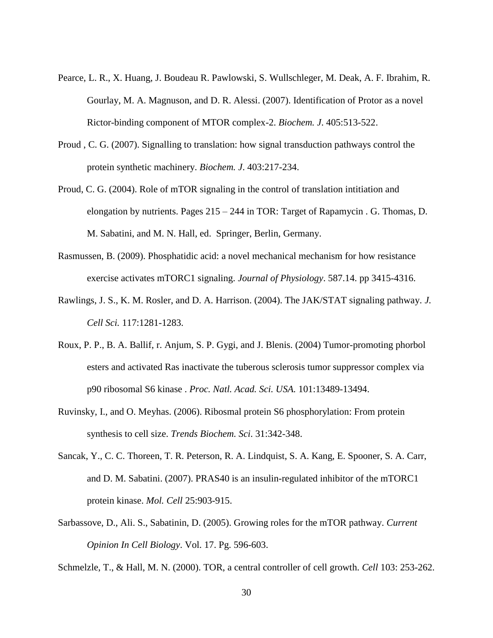- Pearce, L. R., X. Huang, J. Boudeau R. Pawlowski, S. Wullschleger, M. Deak, A. F. Ibrahim, R. Gourlay, M. A. Magnuson, and D. R. Alessi. (2007). Identification of Protor as a novel Rictor-binding component of MTOR complex-2. *Biochem. J*. 405:513-522.
- Proud , C. G. (2007). Signalling to translation: how signal transduction pathways control the protein synthetic machinery. *Biochem. J*. 403:217-234.
- Proud, C. G. (2004). Role of mTOR signaling in the control of translation intitiation and elongation by nutrients. Pages 215 – 244 in TOR: Target of Rapamycin . G. Thomas, D. M. Sabatini, and M. N. Hall, ed. Springer, Berlin, Germany.
- Rasmussen, B. (2009). Phosphatidic acid: a novel mechanical mechanism for how resistance exercise activates mTORC1 signaling. *Journal of Physiology*. 587.14. pp 3415-4316.
- Rawlings, J. S., K. M. Rosler, and D. A. Harrison. (2004). The JAK/STAT signaling pathway. *J. Cell Sci.* 117:1281-1283.
- Roux, P. P., B. A. Ballif, r. Anjum, S. P. Gygi, and J. Blenis. (2004) Tumor-promoting phorbol esters and activated Ras inactivate the tuberous sclerosis tumor suppressor complex via p90 ribosomal S6 kinase . *Proc. Natl. Acad. Sci. USA.* 101:13489-13494.
- Ruvinsky, I., and O. Meyhas. (2006). Ribosmal protein S6 phosphorylation: From protein synthesis to cell size. *Trends Biochem. Sci*. 31:342-348.
- Sancak, Y., C. C. Thoreen, T. R. Peterson, R. A. Lindquist, S. A. Kang, E. Spooner, S. A. Carr, and D. M. Sabatini. (2007). PRAS40 is an insulin-regulated inhibitor of the mTORC1 protein kinase. *Mol. Cell* 25:903-915.
- Sarbassove, D., Ali. S., Sabatinin, D. (2005). Growing roles for the mTOR pathway. *Current Opinion In Cell Biology*. Vol. 17. Pg. 596-603.

Schmelzle, T., & Hall, M. N. (2000). TOR, a central controller of cell growth. *Cell* 103: 253-262.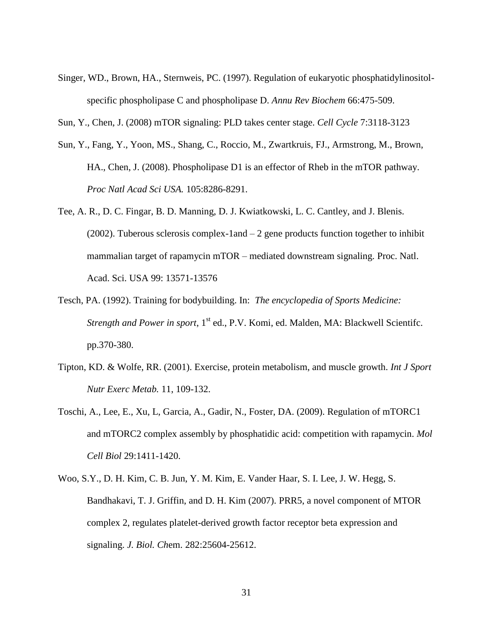- Singer, WD., Brown, HA., Sternweis, PC. (1997). Regulation of eukaryotic phosphatidylinositolspecific phospholipase C and phospholipase D. *Annu Rev Biochem* 66:475-509.
- Sun, Y., Chen, J. (2008) mTOR signaling: PLD takes center stage. *Cell Cycle* 7:3118-3123
- Sun, Y., Fang, Y., Yoon, MS., Shang, C., Roccio, M., Zwartkruis, FJ., Armstrong, M., Brown, HA., Chen, J. (2008). Phospholipase D1 is an effector of Rheb in the mTOR pathway. *Proc Natl Acad Sci USA.* 105:8286-8291.
- Tee, A. R., D. C. Fingar, B. D. Manning, D. J. Kwiatkowski, L. C. Cantley, and J. Blenis.  $(2002)$ . Tuberous sclerosis complex-1and  $-2$  gene products function together to inhibit mammalian target of rapamycin mTOR – mediated downstream signaling. Proc. Natl. Acad. Sci. USA 99: 13571-13576
- Tesch, PA. (1992). Training for bodybuilding. In: *The encyclopedia of Sports Medicine: Strength and Power in sport*, 1<sup>st</sup> ed., P.V. Komi, ed. Malden, MA: Blackwell Scientifc. pp.370-380.
- Tipton, KD. & Wolfe, RR. (2001). Exercise, protein metabolism, and muscle growth. *Int J Sport Nutr Exerc Metab.* 11, 109-132.
- Toschi, A., Lee, E., Xu, L, Garcia, A., Gadir, N., Foster, DA. (2009). Regulation of mTORC1 and mTORC2 complex assembly by phosphatidic acid: competition with rapamycin. *Mol Cell Biol* 29:1411-1420.
- Woo, S.Y., D. H. Kim, C. B. Jun, Y. M. Kim, E. Vander Haar, S. I. Lee, J. W. Hegg, S. Bandhakavi, T. J. Griffin, and D. H. Kim (2007). PRR5, a novel component of MTOR complex 2, regulates platelet-derived growth factor receptor beta expression and signaling. *J. Biol. Ch*em. 282:25604-25612.